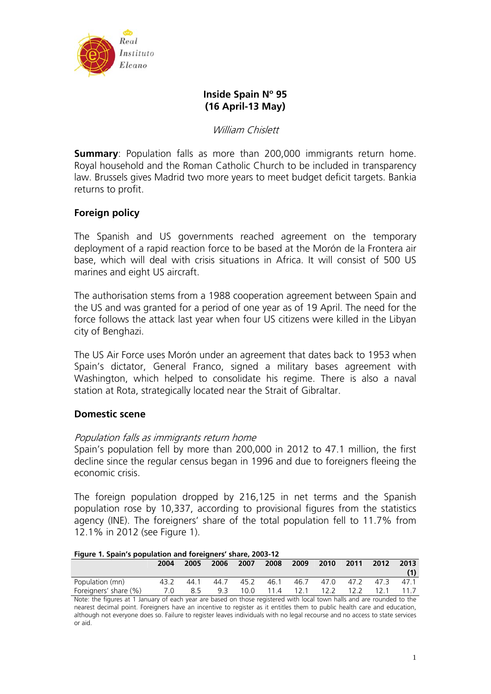

# **Inside Spain Nº 95 (16 April-13 May)**

William Chislett

**Summary:** Population falls as more than 200,000 immigrants return home. Royal household and the Roman Catholic Church to be included in transparency law. Brussels gives Madrid two more years to meet budget deficit targets. Bankia returns to profit.

# **Foreign policy**

The Spanish and US governments reached agreement on the temporary deployment of a rapid reaction force to be based at the Morón de la Frontera air base, which will deal with crisis situations in Africa. It will consist of 500 US marines and eight US aircraft.

The authorisation stems from a 1988 cooperation agreement between Spain and the US and was granted for a period of one year as of 19 April. The need for the force follows the attack last year when four US citizens were killed in the Libyan city of Benghazi.

The US Air Force uses Morón under an agreement that dates back to 1953 when Spain's dictator, General Franco, signed a military bases agreement with Washington, which helped to consolidate his regime. There is also a naval station at Rota, strategically located near the Strait of Gibraltar.

# **Domestic scene**

## Population falls as immigrants return home

Spain's population fell by more than 200,000 in 2012 to 47.1 million, the first decline since the regular census began in 1996 and due to foreigners fleeing the economic crisis.

The foreign population dropped by 216,125 in net terms and the Spanish population rose by 10,337, according to provisional figures from the statistics agency (INE). The foreigners' share of the total population fell to 11.7% from 12.1% in 2012 (see Figure 1).

**Figure 1. Spain's population and foreigners' share, 2003-12** 

|                       | 2004 | 2005 | 2006 2007 |  | 2008 2009 2010 |  | 2011 2012 2013                             |  |
|-----------------------|------|------|-----------|--|----------------|--|--------------------------------------------|--|
| Population (mn)       | 43.2 | 44.1 |           |  |                |  | 44.7 45.2 46.1 46.7 47.0 47.2 47.3 47.1    |  |
| Foreigners' share (%) | 7.0  |      |           |  |                |  | 8.5 9.3 10.0 11.4 12.1 12.2 12.2 12.1 11.7 |  |

Note: the figures at 1 January of each year are based on those registered with local town halls and are rounded to the nearest decimal point. Foreigners have an incentive to register as it entitles them to public health care and education, although not everyone does so. Failure to register leaves individuals with no legal recourse and no access to state services or aid.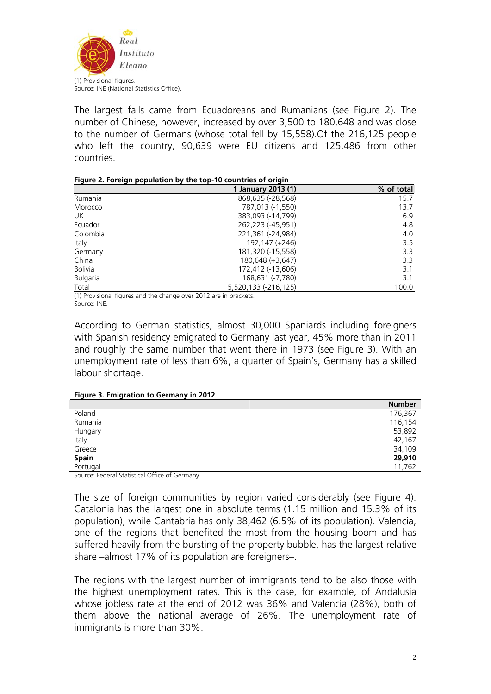

The largest falls came from Ecuadoreans and Rumanians (see Figure 2). The number of Chinese, however, increased by over 3,500 to 180,648 and was close to the number of Germans (whose total fell by 15,558).Of the 216,125 people who left the country, 90,639 were EU citizens and 125,486 from other countries.

|  | Figure 2. Foreign population by the top-10 countries of origin |  |  |  |
|--|----------------------------------------------------------------|--|--|--|
|  |                                                                |  |  |  |

|                 | 1 January 2013 (1)   | % of total |
|-----------------|----------------------|------------|
| Rumania         | 868,635 (-28,568)    | 15.7       |
| Morocco         | 787,013 (-1,550)     | 13.7       |
| <b>UK</b>       | 383,093 (-14,799)    | 6.9        |
| Ecuador         | 262,223 (-45,951)    | 4.8        |
| Colombia        | 221,361 (-24,984)    | 4.0        |
| Italy           | 192,147 (+246)       | 3.5        |
| Germany         | 181,320 (-15,558)    | 3.3        |
| China           | 180,648 (+3,647)     | 3.3        |
| <b>Bolivia</b>  | 172,412 (-13,606)    | 3.1        |
| <b>Bulgaria</b> | 168,631 (-7,780)     | 3.1        |
| Total           | 5,520,133 (-216,125) | 100.0      |

(1) Provisional figures and the change over 2012 are in brackets. Source: INE.

According to German statistics, almost 30,000 Spaniards including foreigners with Spanish residency emigrated to Germany last year, 45% more than in 2011 and roughly the same number that went there in 1973 (see Figure 3). With an unemployment rate of less than 6%, a quarter of Spain's, Germany has a skilled labour shortage.

#### **Figure 3. Emigration to Germany in 2012**

|          | <b>Number</b> |
|----------|---------------|
| Poland   | 176,367       |
| Rumania  | 116,154       |
| Hungary  | 53,892        |
| Italy    | 42,167        |
| Greece   | 34,109        |
| Spain    | 29,910        |
| Portugal | 11,762        |
|          |               |

Source: Federal Statistical Office of Germany.

The size of foreign communities by region varied considerably (see Figure 4). Catalonia has the largest one in absolute terms (1.15 million and 15.3% of its population), while Cantabria has only 38,462 (6.5% of its population). Valencia, one of the regions that benefited the most from the housing boom and has suffered heavily from the bursting of the property bubble, has the largest relative share –almost 17% of its population are foreigners–.

The regions with the largest number of immigrants tend to be also those with the highest unemployment rates. This is the case, for example, of Andalusia whose jobless rate at the end of 2012 was 36% and Valencia (28%), both of them above the national average of 26%. The unemployment rate of immigrants is more than 30%.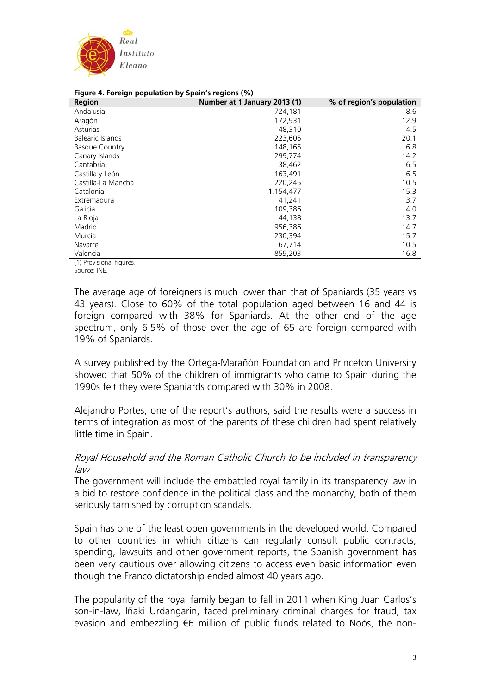

| Region                | -r----<br>$-1$ . $-9$ . $-1$ . $-1$<br>Number at 1 January 2013 (1) | % of region's population |
|-----------------------|---------------------------------------------------------------------|--------------------------|
| Andalusia             | 724,181                                                             | 8.6                      |
| Aragón                | 172,931                                                             | 12.9                     |
| Asturias              | 48,310                                                              | 4.5                      |
| Balearic Islands      | 223,605                                                             | 20.1                     |
| <b>Basque Country</b> | 148,165                                                             | 6.8                      |
| Canary Islands        | 299,774                                                             | 14.2                     |
| Cantabria             | 38,462                                                              | 6.5                      |
| Castilla y León       | 163,491                                                             | 6.5                      |
| Castilla-La Mancha    | 220,245                                                             | 10.5                     |
| Catalonia             | 1,154,477                                                           | 15.3                     |
| Extremadura           | 41,241                                                              | 3.7                      |
| Galicia               | 109,386                                                             | 4.0                      |
| La Rioja              | 44,138                                                              | 13.7                     |
| Madrid                | 956,386                                                             | 14.7                     |
| Murcia                | 230,394                                                             | 15.7                     |
| Navarre               | 67,714                                                              | 10.5                     |
| Valencia              | 859,203                                                             | 16.8                     |

#### **Figure 4. Foreign population by Spain's regions (%)**

(1) Provisional figures. Source: INE.

The average age of foreigners is much lower than that of Spaniards (35 years vs 43 years). Close to 60% of the total population aged between 16 and 44 is foreign compared with 38% for Spaniards. At the other end of the age spectrum, only 6.5% of those over the age of 65 are foreign compared with 19% of Spaniards.

A survey published by the Ortega-Marañón Foundation and Princeton University showed that 50% of the children of immigrants who came to Spain during the 1990s felt they were Spaniards compared with 30% in 2008.

Alejandro Portes, one of the report's authors, said the results were a success in terms of integration as most of the parents of these children had spent relatively little time in Spain.

## Royal Household and the Roman Catholic Church to be included in transparency law

The government will include the embattled royal family in its transparency law in a bid to restore confidence in the political class and the monarchy, both of them seriously tarnished by corruption scandals.

Spain has one of the least open governments in the developed world. Compared to other countries in which citizens can regularly consult public contracts, spending, lawsuits and other government reports, the Spanish government has been very cautious over allowing citizens to access even basic information even though the Franco dictatorship ended almost 40 years ago.

The popularity of the royal family began to fall in 2011 when King Juan Carlos's son-in-law, Iñaki Urdangarin, faced preliminary criminal charges for fraud, tax evasion and embezzling €6 million of public funds related to Noós, the non-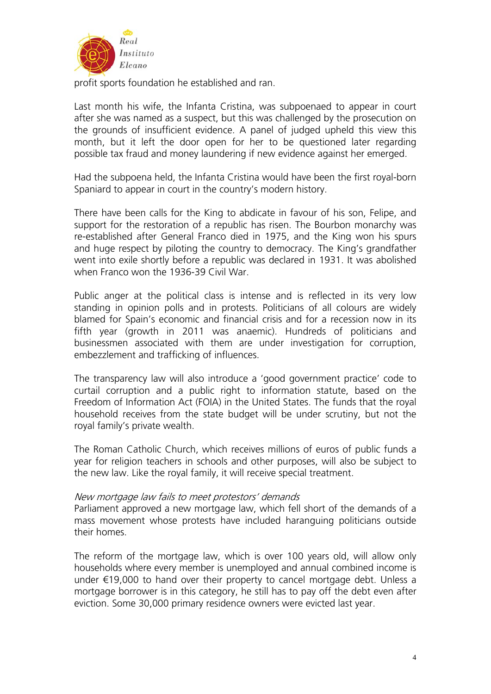

profit sports foundation he established and ran.

Last month his wife, the Infanta Cristina, was subpoenaed to appear in court after she was named as a suspect, but this was challenged by the prosecution on the grounds of insufficient evidence. A panel of judged upheld this view this month, but it left the door open for her to be questioned later regarding possible tax fraud and money laundering if new evidence against her emerged.

Had the subpoena held, the Infanta Cristina would have been the first royal-born Spaniard to appear in court in the country's modern history.

There have been calls for the King to abdicate in favour of his son, Felipe, and support for the restoration of a republic has risen. The Bourbon monarchy was re-established after General Franco died in 1975, and the King won his spurs and huge respect by piloting the country to democracy. The King's grandfather went into exile shortly before a republic was declared in 1931. It was abolished when Franco won the 1936-39 Civil War.

Public anger at the political class is intense and is reflected in its very low standing in opinion polls and in protests. Politicians of all colours are widely blamed for Spain's economic and financial crisis and for a recession now in its fifth year (growth in 2011 was anaemic). Hundreds of politicians and businessmen associated with them are under investigation for corruption, embezzlement and trafficking of influences.

The transparency law will also introduce a 'good government practice' code to curtail corruption and a public right to information statute, based on the Freedom of Information Act (FOIA) in the United States. The funds that the royal household receives from the state budget will be under scrutiny, but not the royal family's private wealth.

The Roman Catholic Church, which receives millions of euros of public funds a year for religion teachers in schools and other purposes, will also be subject to the new law. Like the royal family, it will receive special treatment.

### New mortgage law fails to meet protestors' demands

Parliament approved a new mortgage law, which fell short of the demands of a mass movement whose protests have included haranguing politicians outside their homes.

The reform of the mortgage law, which is over 100 years old, will allow only households where every member is unemployed and annual combined income is under €19,000 to hand over their property to cancel mortgage debt. Unless a mortgage borrower is in this category, he still has to pay off the debt even after eviction. Some 30,000 primary residence owners were evicted last year.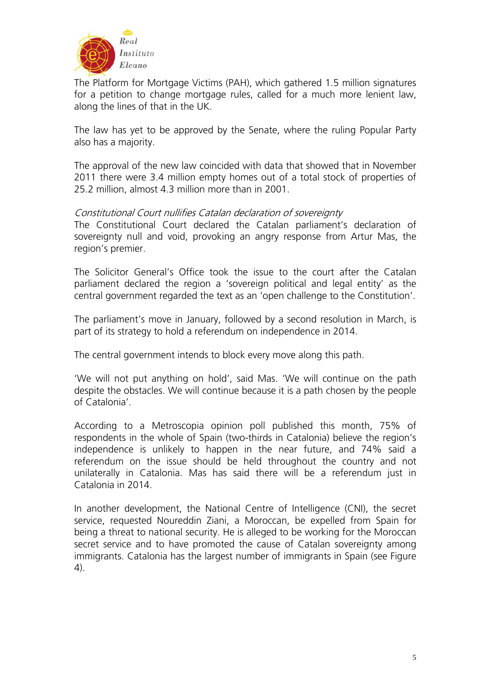

The Platform for Mortgage Victims (PAH), which gathered 1.5 million signatures for a petition to change mortgage rules, called for a much more lenient law, along the lines of that in the UK.

The law has yet to be approved by the Senate, where the ruling Popular Party also has a majority.

The approval of the new law coincided with data that showed that in November 2011 there were 3.4 million empty homes out of a total stock of properties of 25.2 million, almost 4.3 million more than in 2001.

## Constitutional Court nullifies Catalan declaration of sovereignty

The Constitutional Court declared the Catalan parliament's declaration of sovereignty null and void, provoking an angry response from Artur Mas, the region's premier.

The Solicitor General's Office took the issue to the court after the Catalan parliament declared the region a 'sovereign political and legal entity' as the central government regarded the text as an 'open challenge to the Constitution'.

The parliament's move in January, followed by a second resolution in March, is part of its strategy to hold a referendum on independence in 2014.

The central government intends to block every move along this path.

'We will not put anything on hold', said Mas. 'We will continue on the path despite the obstacles. We will continue because it is a path chosen by the people of Catalonia'.

According to a Metroscopia opinion poll published this month, 75% of respondents in the whole of Spain (two-thirds in Catalonia) believe the region's independence is unlikely to happen in the near future, and 74% said a referendum on the issue should be held throughout the country and not unilaterally in Catalonia. Mas has said there will be a referendum just in Catalonia in 2014.

In another development, the National Centre of Intelligence (CNI), the secret service, requested Noureddin Ziani, a Moroccan, be expelled from Spain for being a threat to national security. He is alleged to be working for the Moroccan secret service and to have promoted the cause of Catalan sovereignty among immigrants. Catalonia has the largest number of immigrants in Spain (see Figure 4).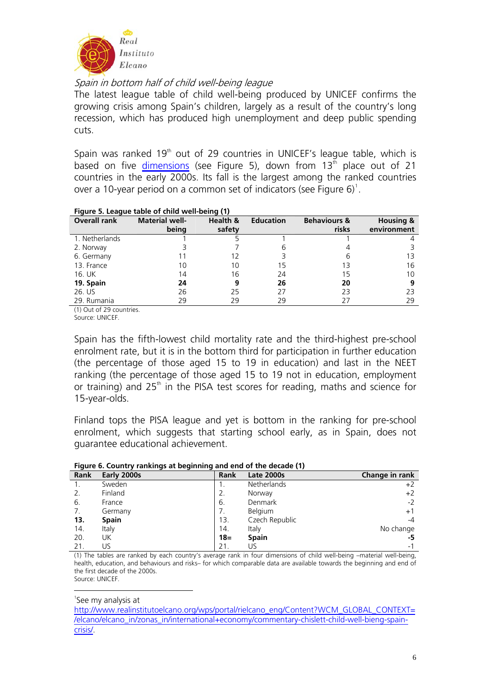

Spain in bottom half of child well-being league

The latest league table of child well-being produced by UNICEF confirms the growing crisis among Spain's children, largely as a result of the country's long recession, which has produced high unemployment and deep public spending cuts.

Spain was ranked 19<sup>th</sup> out of 29 countries in UNICEF's league table, which is based on five [dimensions](http://www.unicef.org/media/files/RC11-ENG-embargo.pdf) (see Figure 5), down from  $13<sup>th</sup>$  place out of 21 countries in the early 2000s. Its fall is the largest among the ranked countries over a [1](#page-5-0)0-year period on a common set of indicators (see Figure  $6$ )<sup>1</sup>.

|                     | rigure 5. League table or critic well-bellig (1) |          |                  |                         |                      |
|---------------------|--------------------------------------------------|----------|------------------|-------------------------|----------------------|
| <b>Overall rank</b> | <b>Material well-</b>                            | Health & | <b>Education</b> | <b>Behaviours &amp;</b> | <b>Housing &amp;</b> |
|                     | being                                            | safety   |                  | risks                   | environment          |
| 1. Netherlands      |                                                  |          |                  |                         |                      |
| 2. Norway           |                                                  |          | h                |                         |                      |
| 6. Germany          |                                                  | 12       |                  | 6                       | 13                   |
| 13. France          | 10                                               | 10       | 15               | 13                      | 16                   |
| 16. UK              | 14                                               | 16       | 24               | 15                      | 10                   |
| 19. Spain           | 24                                               | 9        | 26               | 20                      | 9                    |
| 26. US              | 26                                               | 25       | 27               | 23                      | 23                   |
| 29. Rumania         | 29                                               | 29       | 29               | 27                      | 29                   |

#### **Figure 5. League table of child well-being (1)**

(1) Out of 29 countries.

Source: UNICEF.

Spain has the fifth-lowest child mortality rate and the third-highest pre-school enrolment rate, but it is in the bottom third for participation in further education (the percentage of those aged 15 to 19 in education) and last in the NEET ranking (the percentage of those aged 15 to 19 not in education, employment or training) and  $25<sup>th</sup>$  in the PISA test scores for reading, maths and science for 15-year-olds.

Finland tops the PISA league and yet is bottom in the ranking for pre-school enrolment, which suggests that starting school early, as in Spain, does not guarantee educational achievement.

| Figure 6. Country rankings at beginning and end of the decade (1) |        |                    |                |  |  |  |  |
|-------------------------------------------------------------------|--------|--------------------|----------------|--|--|--|--|
| Early 2000s                                                       | Rank   | <b>Late 2000s</b>  | Change in rank |  |  |  |  |
| Sweden                                                            |        | <b>Netherlands</b> | $+2$           |  |  |  |  |
| Finland                                                           |        | Norway             | $+2$           |  |  |  |  |
| France                                                            | -6.    | <b>Denmark</b>     | $-2$           |  |  |  |  |
| Germany                                                           |        | <b>Belgium</b>     | $+1$           |  |  |  |  |
| <b>Spain</b>                                                      | 13.    | Czech Republic     | $-4$           |  |  |  |  |
| Italy                                                             | 14.    | Italy              | No change      |  |  |  |  |
| UK                                                                | $18 =$ | <b>Spain</b>       | -5             |  |  |  |  |
|                                                                   |        |                    |                |  |  |  |  |

#### **Figure 6. Country rankings at beginning and end of the decade (1)**

(1) The tables are ranked by each country's average rank in four dimensions of child well-being –material well-being, health, education, and behaviours and risks– for which comparable data are available towards the beginning and end of the first decade of the 2000s. Source: UNICEF.

21. US -1

<span id="page-5-0"></span><u>.</u> 1 See my analysis at

[http://www.realinstitutoelcano.org/wps/portal/rielcano\\_eng/Content?WCM\\_GLOBAL\\_CONTEXT=](http://www.realinstitutoelcano.org/wps/portal/rielcano_eng/Content?WCM_GLOBAL_CONTEXT=/elcano/elcano_in/zonas_in/international+economy/commentary-chislett-child-well-bieng-spain-crisis/) [/elcano/elcano\\_in/zonas\\_in/international+economy/commentary-chislett-child-well-bieng-spain](http://www.realinstitutoelcano.org/wps/portal/rielcano_eng/Content?WCM_GLOBAL_CONTEXT=/elcano/elcano_in/zonas_in/international+economy/commentary-chislett-child-well-bieng-spain-crisis/)[crisis/.](http://www.realinstitutoelcano.org/wps/portal/rielcano_eng/Content?WCM_GLOBAL_CONTEXT=/elcano/elcano_in/zonas_in/international+economy/commentary-chislett-child-well-bieng-spain-crisis/)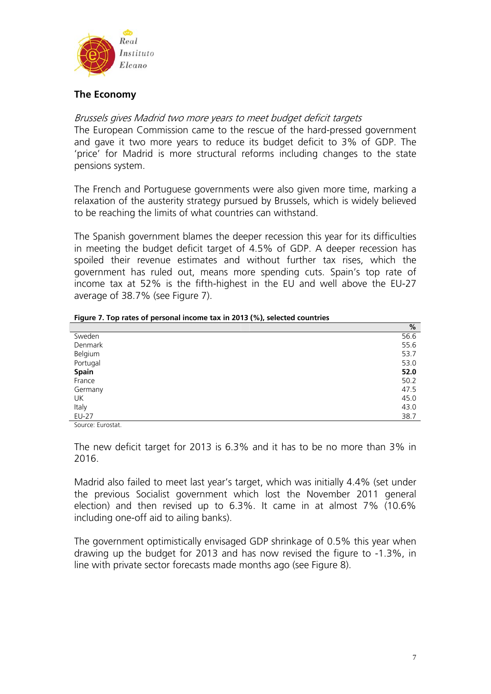

# **The Economy**

## Brussels gives Madrid two more years to meet budget deficit targets

The European Commission came to the rescue of the hard-pressed government and gave it two more years to reduce its budget deficit to 3% of GDP. The 'price' for Madrid is more structural reforms including changes to the state pensions system.

The French and Portuguese governments were also given more time, marking a relaxation of the austerity strategy pursued by Brussels, which is widely believed to be reaching the limits of what countries can withstand.

The Spanish government blames the deeper recession this year for its difficulties in meeting the budget deficit target of 4.5% of GDP. A deeper recession has spoiled their revenue estimates and without further tax rises, which the government has ruled out, means more spending cuts. Spain's top rate of income tax at 52% is the fifth-highest in the EU and well above the EU-27 average of 38.7% (see Figure 7).

|          | %    |
|----------|------|
| Sweden   | 56.6 |
| Denmark  | 55.6 |
| Belgium  | 53.7 |
| Portugal | 53.0 |
| Spain    | 52.0 |
| France   | 50.2 |
| Germany  | 47.5 |
| UK       | 45.0 |
| Italy    | 43.0 |
| EU-27    | 38.7 |

**Figure 7. Top rates of personal income tax in 2013 (%), selected countries** 

Source: Eurostat.

The new deficit target for 2013 is 6.3% and it has to be no more than 3% in 2016.

Madrid also failed to meet last year's target, which was initially 4.4% (set under the previous Socialist government which lost the November 2011 general election) and then revised up to 6.3%. It came in at almost 7% (10.6% including one-off aid to ailing banks).

The government optimistically envisaged GDP shrinkage of 0.5% this year when drawing up the budget for 2013 and has now revised the figure to -1.3%, in line with private sector forecasts made months ago (see Figure 8).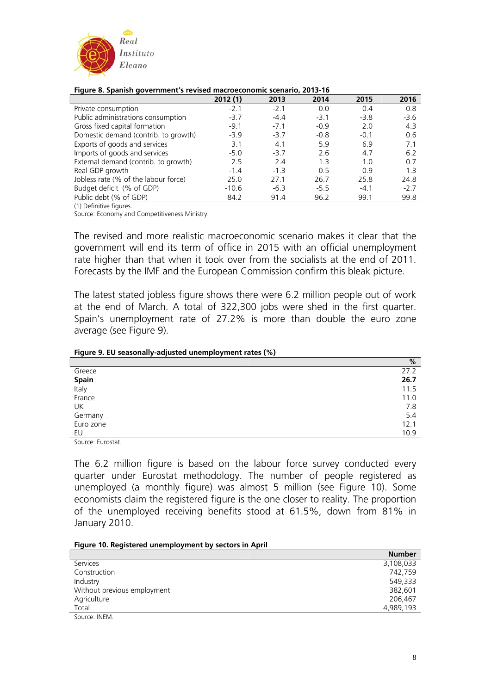

#### **Figure 8. Spanish government's revised macroeconomic scenario, 2013-16**

|                                      | 2012(1) | 2013   | 2014   | 2015   | 2016   |
|--------------------------------------|---------|--------|--------|--------|--------|
| Private consumption                  | $-2.1$  | $-2.1$ | 0.0    | 0.4    | 0.8    |
| Public administrations consumption   | $-3.7$  | $-4.4$ | $-3.1$ | $-3.8$ | $-3.6$ |
| Gross fixed capital formation        | $-9.1$  | $-7.1$ | $-0.9$ | 2.0    | 4.3    |
| Domestic demand (contrib. to growth) | $-3.9$  | $-3.7$ | $-0.8$ | $-0.1$ | 0.6    |
| Exports of goods and services        | 3.1     | 4.1    | 5.9    | 6.9    | 7.1    |
| Imports of goods and services        | $-5.0$  | $-3.7$ | 2.6    | 4.7    | 6.2    |
| External demand (contrib. to growth) | 2.5     | 2.4    | 1.3    | 1.0    | 0.7    |
| Real GDP growth                      | $-1.4$  | $-1.3$ | 0.5    | 0.9    | 13     |
| Jobless rate (% of the labour force) | 25.0    | 27.1   | 26.7   | 25.8   | 24.8   |
| Budget deficit (% of GDP)            | $-10.6$ | $-6.3$ | $-5.5$ | $-4.1$ | $-2.7$ |
| Public debt (% of GDP)               | 84.2    | 91.4   | 96.2   | 99.1   | 99.8   |

(1) Definitive figures.

Source: Economy and Competitiveness Ministry.

The revised and more realistic macroeconomic scenario makes it clear that the government will end its term of office in 2015 with an official unemployment rate higher than that when it took over from the socialists at the end of 2011. Forecasts by the IMF and the European Commission confirm this bleak picture.

The latest stated jobless figure shows there were 6.2 million people out of work at the end of March. A total of 322,300 jobs were shed in the first quarter. Spain's unemployment rate of 27.2% is more than double the euro zone average (see Figure 9).

#### **Figure 9. EU seasonally-adjusted unemployment rates (%)**

|           | %    |
|-----------|------|
| Greece    | 27.2 |
| Spain     | 26.7 |
| Italy     | 11.5 |
| France    | 11.0 |
| UK        | 7.8  |
| Germany   | 5.4  |
| Euro zone | 12.1 |
| EU        | 10.9 |

Source: Eurostat.

The 6.2 million figure is based on the labour force survey conducted every quarter under Eurostat methodology. The number of people registered as unemployed (a monthly figure) was almost 5 million (see Figure 10). Some economists claim the registered figure is the one closer to reality. The proportion of the unemployed receiving benefits stood at 61.5%, down from 81% in January 2010.

#### **Figure 10. Registered unemployment by sectors in April**

|                             | <b>Number</b> |
|-----------------------------|---------------|
| Services                    | 3,108,033     |
| Construction                | 742,759       |
| Industry                    | 549,333       |
| Without previous employment | 382,601       |
| Agriculture                 | 206.467       |
| Total                       | 4,989,193     |
| Source: INEM.               |               |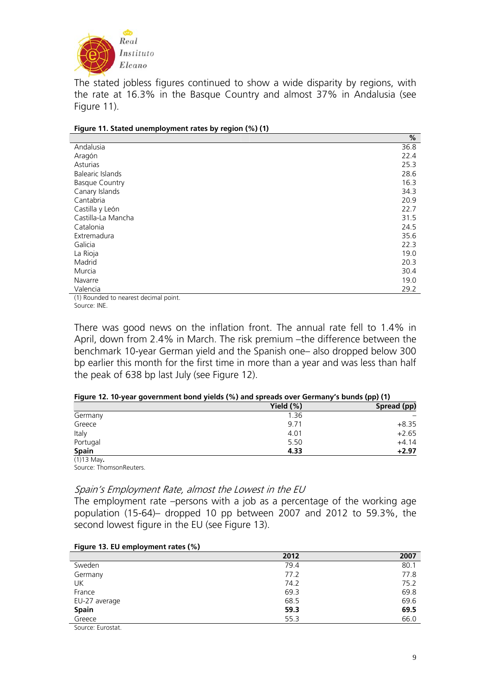

The stated jobless figures continued to show a wide disparity by regions, with the rate at 16.3% in the Basque Country and almost 37% in Andalusia (see Figure 11).

|                                         | %    |
|-----------------------------------------|------|
| Andalusia                               | 36.8 |
| Aragón                                  | 22.4 |
| Asturias                                | 25.3 |
| <b>Balearic Islands</b>                 | 28.6 |
| <b>Basque Country</b>                   | 16.3 |
| Canary Islands                          | 34.3 |
| Cantabria                               | 20.9 |
| Castilla y León                         | 22.7 |
| Castilla-La Mancha                      | 31.5 |
| Catalonia                               | 24.5 |
| Extremadura                             | 35.6 |
| Galicia                                 | 22.3 |
| La Rioja                                | 19.0 |
| Madrid                                  | 20.3 |
| Murcia                                  | 30.4 |
| Navarre                                 | 19.0 |
| Valencia                                | 29.2 |
| $(1)$ Douglast to nearest decimal point |      |

**Figure 11. Stated unemployment rates by region (%) (1)** 

(1) Rounded to nearest decimal point. Source: INE.

There was good news on the inflation front. The annual rate fell to 1.4% in April, down from 2.4% in March. The risk premium –the difference between the benchmark 10-year German yield and the Spanish one– also dropped below 300 bp earlier this month for the first time in more than a year and was less than half the peak of 638 bp last July (see Figure 12).

| Figure 12. 10-year government bond yields (%) and spreads over Germany's bunds (pp) (1) |  |
|-----------------------------------------------------------------------------------------|--|
|-----------------------------------------------------------------------------------------|--|

|              | Yield $(\%)$ | Spread (pp) |
|--------------|--------------|-------------|
| Germany      | 1.36         |             |
| Greece       | 9.71         | $+8.35$     |
| Italy        | 4.01         | $+2.65$     |
| Portugal     | 5.50         | $+4.14$     |
| <b>Spain</b> | 4.33         | $+2.97$     |
| $(1)13$ May. |              |             |

Source: ThomsonReuters.

#### Spain's Employment Rate, almost the Lowest in the EU

The employment rate –persons with a job as a percentage of the working age population (15-64)– dropped 10 pp between 2007 and 2012 to 59.3%, the second lowest figure in the EU (see Figure 13).

| Figure 13. EU employment rates (%) |
|------------------------------------|
|                                    |

|               | 2012 | 2007 |
|---------------|------|------|
| Sweden        | 79.4 | 80.1 |
| Germany       | 77.2 | 77.8 |
| UK            | 74.2 | 75.2 |
| France        | 69.3 | 69.8 |
| EU-27 average | 68.5 | 69.6 |
| <b>Spain</b>  | 59.3 | 69.5 |
| Greece        | 55.3 | 66.0 |

Source: Eurostat.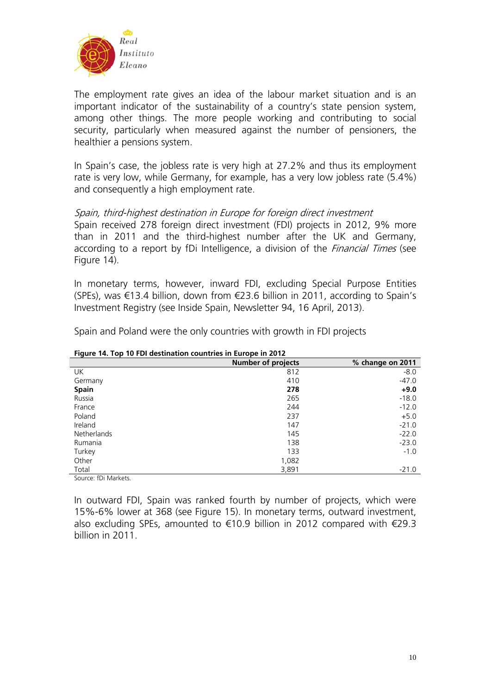

The employment rate gives an idea of the labour market situation and is an important indicator of the sustainability of a country's state pension system, among other things. The more people working and contributing to social security, particularly when measured against the number of pensioners, the healthier a pensions system.

In Spain's case, the jobless rate is very high at 27.2% and thus its employment rate is very low, while Germany, for example, has a very low jobless rate (5.4%) and consequently a high employment rate.

### Spain, third-highest destination in Europe for foreign direct investment

Spain received 278 foreign direct investment (FDI) projects in 2012, 9% more than in 2011 and the third-highest number after the UK and Germany, according to a report by fDi Intelligence, a division of the *Financial Times* (see Figure 14).

In monetary terms, however, inward FDI, excluding Special Purpose Entities (SPEs), was €13.4 billion, down from €23.6 billion in 2011, according to Spain's Investment Registry (see Inside Spain, Newsletter 94, 16 April, 2013).

| <b>Tigare 14. TOP TO FBI acsumation countines in Earope in 2012</b> |                           |                  |  |
|---------------------------------------------------------------------|---------------------------|------------------|--|
|                                                                     | <b>Number of projects</b> | % change on 2011 |  |
| UK.                                                                 | 812                       | $-8.0$           |  |
| Germany                                                             | 410                       | $-47.0$          |  |
| <b>Spain</b>                                                        | 278                       | $+9.0$           |  |
| Russia                                                              | 265                       | $-18.0$          |  |
| France                                                              | 244                       | $-12.0$          |  |
| Poland                                                              | 237                       | $+5.0$           |  |
| Ireland                                                             | 147                       | $-21.0$          |  |
| Netherlands                                                         | 145                       | $-22.0$          |  |
| Rumania                                                             | 138                       | $-23.0$          |  |
| Turkey                                                              | 133                       | $-1.0$           |  |
| Other                                                               | 1,082                     |                  |  |
| Total                                                               | 3,891                     | $-21.0$          |  |
| Source: fDi Markets.                                                |                           |                  |  |

Spain and Poland were the only countries with growth in FDI projects

**Figure 14. Top 10 FDI destination countries in Europe in 2012** 

In outward FDI, Spain was ranked fourth by number of projects, which were 15%-6% lower at 368 (see Figure 15). In monetary terms, outward investment, also excluding SPEs, amounted to €10.9 billion in 2012 compared with €29.3 billion in 2011.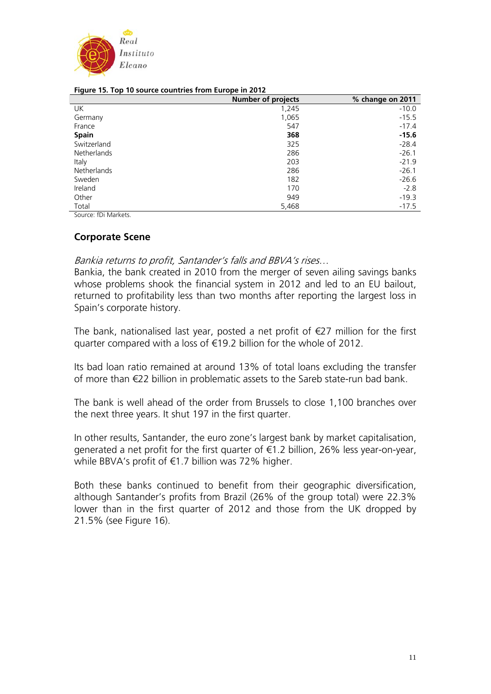

| $1.9941$ cm $1.9911$ cm $1.9041$ cc counteres from Europe in Evil. |                           |                  |  |
|--------------------------------------------------------------------|---------------------------|------------------|--|
|                                                                    | <b>Number of projects</b> | % change on 2011 |  |
| UK                                                                 | 1,245                     | $-10.0$          |  |
| Germany                                                            | 1,065                     | $-15.5$          |  |
| France                                                             | 547                       | $-17.4$          |  |
| <b>Spain</b>                                                       | 368                       | $-15.6$          |  |
| Switzerland                                                        | 325                       | $-28.4$          |  |
| Netherlands                                                        | 286                       | $-26.1$          |  |
| Italy                                                              | 203                       | $-21.9$          |  |
| Netherlands                                                        | 286                       | $-26.1$          |  |
| Sweden                                                             | 182                       | $-26.6$          |  |
| Ireland                                                            | 170                       | $-2.8$           |  |
| Other                                                              | 949                       | $-19.3$          |  |
| Total                                                              | 5,468                     | $-17.5$          |  |

#### **Figure 15. Top 10 source countries from Europe in 2012**

Source: fDi Markets.

### **Corporate Scene**

Bankia returns to profit, Santander's falls and BBVA's rises…

Bankia, the bank created in 2010 from the merger of seven ailing savings banks whose problems shook the financial system in 2012 and led to an EU bailout, returned to profitability less than two months after reporting the largest loss in Spain's corporate history.

The bank, nationalised last year, posted a net profit of  $E$ 27 million for the first quarter compared with a loss of €19.2 billion for the whole of 2012.

Its bad loan ratio remained at around 13% of total loans excluding the transfer of more than €22 billion in problematic assets to the Sareb state-run bad bank.

The bank is well ahead of the order from Brussels to close 1,100 branches over the next three years. It shut 197 in the first quarter.

In other results, Santander, the euro zone's largest bank by market capitalisation, generated a net profit for the first quarter of €1.2 billion, 26% less year-on-year, while BBVA's profit of €1.7 billion was 72% higher.

Both these banks continued to benefit from their geographic diversification, although Santander's profits from Brazil (26% of the group total) were 22.3% lower than in the first quarter of 2012 and those from the UK dropped by 21.5% (see Figure 16).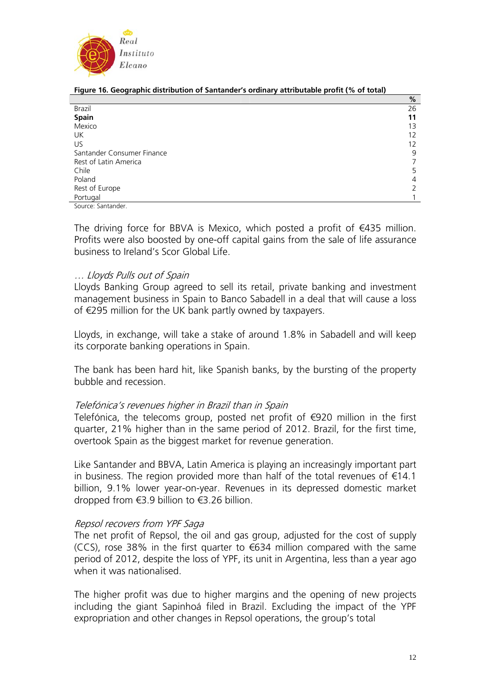

| Figure 16. Geographic distribution of Santander's ordinary attributable profit (% of total) |  |  |
|---------------------------------------------------------------------------------------------|--|--|

|                            | %  |
|----------------------------|----|
| Brazil                     | 26 |
| Spain                      | 11 |
| Mexico                     | 13 |
| UK                         | 12 |
| US                         | 12 |
| Santander Consumer Finance | 9  |
| Rest of Latin America      |    |
| Chile                      | 5  |
| Poland                     | 4  |
| Rest of Europe             |    |
| Portugal                   |    |

Source: Santander.

The driving force for BBVA is Mexico, which posted a profit of  $\in$ 435 million. Profits were also boosted by one-off capital gains from the sale of life assurance business to Ireland's Scor Global Life.

### … Lloyds Pulls out of Spain

Lloyds Banking Group agreed to sell its retail, private banking and investment management business in Spain to Banco Sabadell in a deal that will cause a loss of €295 million for the UK bank partly owned by taxpayers.

Lloyds, in exchange, will take a stake of around 1.8% in Sabadell and will keep its corporate banking operations in Spain.

The bank has been hard hit, like Spanish banks, by the bursting of the property bubble and recession.

## Telefónica's revenues higher in Brazil than in Spain

Telefónica, the telecoms group, posted net profit of €920 million in the first quarter, 21% higher than in the same period of 2012. Brazil, for the first time, overtook Spain as the biggest market for revenue generation.

Like Santander and BBVA, Latin America is playing an increasingly important part in business. The region provided more than half of the total revenues of €14.1 billion, 9.1% lower year-on-year. Revenues in its depressed domestic market dropped from €3.9 billion to €3.26 billion.

### Repsol recovers from YPF Saga

The net profit of Repsol, the oil and gas group, adjusted for the cost of supply (CCS), rose 38% in the first quarter to  $634$  million compared with the same period of 2012, despite the loss of YPF, its unit in Argentina, less than a year ago when it was nationalised.

The higher profit was due to higher margins and the opening of new projects including the giant Sapinhoá filed in Brazil. Excluding the impact of the YPF expropriation and other changes in Repsol operations, the group's total